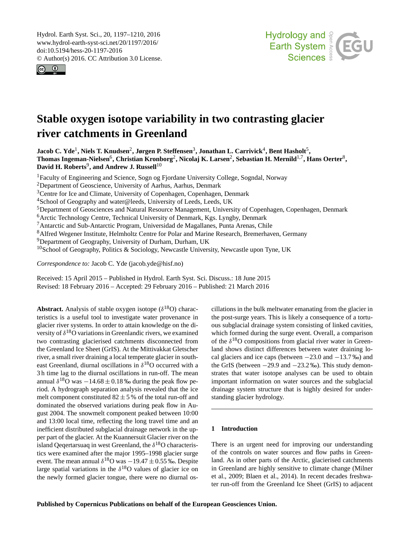<span id="page-0-1"></span>Hydrol. Earth Syst. Sci., 20, 1197–1210, 2016 www.hydrol-earth-syst-sci.net/20/1197/2016/ doi:10.5194/hess-20-1197-2016 © Author(s) 2016. CC Attribution 3.0 License.





# **Stable oxygen isotope variability in two contrasting glacier river catchments in Greenland**

Jacob C. Yde<sup>[1](#page-0-0)</sup>, Niels T. Knudsen<sup>[2](#page-0-0)</sup>, Jørgen P. Steffensen<sup>[3](#page-0-0)</sup>, Jonathan L. Carrivick<sup>[4](#page-0-0)</sup>, Bent Hasholt<sup>[5](#page-0-0)</sup>,  $\bf{Thomas Ingeman-Nielsen^6, Christian Kronborg^2, Nicolaj K. Larsen^2, Sebastian H. Mernild^{1,7}, Hans Oerter^8,$  $\bf{Thomas Ingeman-Nielsen^6, Christian Kronborg^2, Nicolaj K. Larsen^2, Sebastian H. Mernild^{1,7}, Hans Oerter^8,$  $\bf{Thomas Ingeman-Nielsen^6, Christian Kronborg^2, Nicolaj K. Larsen^2, Sebastian H. Mernild^{1,7}, Hans Oerter^8,$  $\bf{Thomas Ingeman-Nielsen^6, Christian Kronborg^2, Nicolaj K. Larsen^2, Sebastian H. Mernild^{1,7}, Hans Oerter^8,$  $\bf{Thomas Ingeman-Nielsen^6, Christian Kronborg^2, Nicolaj K. Larsen^2, Sebastian H. Mernild^{1,7}, Hans Oerter^8,$  $\bf{Thomas Ingeman-Nielsen^6, Christian Kronborg^2, Nicolaj K. Larsen^2, Sebastian H. Mernild^{1,7}, Hans Oerter^8,$  $\bf{Thomas Ingeman-Nielsen^6, Christian Kronborg^2, Nicolaj K. Larsen^2, Sebastian H. Mernild^{1,7}, Hans Oerter^8,$  $\bf{Thomas Ingeman-Nielsen^6, Christian Kronborg^2, Nicolaj K. Larsen^2, Sebastian H. Mernild^{1,7}, Hans Oerter^8,$  $\bf{Thomas Ingeman-Nielsen^6, Christian Kronborg^2, Nicolaj K. Larsen^2, Sebastian H. Mernild^{1,7}, Hans Oerter^8,$ David H. Roberts<sup>[9](#page-0-0)</sup>, and Andrew J. Russell<sup>[10](#page-0-0)</sup>

<sup>1</sup>Faculty of Engineering and Science, Sogn og Fjordane University College, Sogndal, Norway

<sup>2</sup>Department of Geoscience, University of Aarhus, Aarhus, Denmark

<sup>3</sup>Centre for Ice and Climate, University of Copenhagen, Copenhagen, Denmark

<sup>4</sup>School of Geography and water@leeds, University of Leeds, Leeds, UK

<sup>5</sup>Department of Geosciences and Natural Resource Management, University of Copenhagen, Copenhagen, Denmark

<sup>6</sup> Arctic Technology Centre, Technical University of Denmark, Kgs. Lyngby, Denmark

<sup>7</sup>Antarctic and Sub-Antarctic Program, Universidad de Magallanes, Punta Arenas, Chile

<sup>8</sup>Alfred Wegener Institute, Helmholtz Centre for Polar and Marine Research, Bremerhaven, Germany

<sup>9</sup>Department of Geography, University of Durham, Durham, UK

 $10$ School of Geography, Politics & Sociology, Newcastle University, Newcastle upon Tyne, UK

*Correspondence to:* Jacob C. Yde (jacob.yde@hisf.no)

Received: 15 April 2015 – Published in Hydrol. Earth Syst. Sci. Discuss.: 18 June 2015 Revised: 18 February 2016 – Accepted: 29 February 2016 – Published: 21 March 2016

<span id="page-0-0"></span>**Abstract.** Analysis of stable oxygen isotope  $(\delta^{18}O)$  characteristics is a useful tool to investigate water provenance in glacier river systems. In order to attain knowledge on the diversity of  $\delta^{18}$ O variations in Greenlandic rivers, we examined two contrasting glacierised catchments disconnected from the Greenland Ice Sheet (GrIS). At the Mittivakkat Gletscher river, a small river draining a local temperate glacier in southeast Greenland, diurnal oscillations in  $\delta^{18}$ O occurred with a 3 h time lag to the diurnal oscillations in run-off. The mean annual  $\delta^{18}$ O was  $-14.68 \pm 0.18$  ‰ during the peak flow period. A hydrograph separation analysis revealed that the ice melt component constituted  $82 \pm 5$ % of the total run-off and dominated the observed variations during peak flow in August 2004. The snowmelt component peaked between 10:00 and 13:00 local time, reflecting the long travel time and an inefficient distributed subglacial drainage network in the upper part of the glacier. At the Kuannersuit Glacier river on the island Qeqertarsuaq in west Greenland, the  $\delta^{18}$ O characteristics were examined after the major 1995–1998 glacier surge event. The mean annual  $\delta^{18}$ O was  $-19.47 \pm 0.55$  ‰. Despite large spatial variations in the  $\delta^{18}$ O values of glacier ice on the newly formed glacier tongue, there were no diurnal oscillations in the bulk meltwater emanating from the glacier in the post-surge years. This is likely a consequence of a tortuous subglacial drainage system consisting of linked cavities, which formed during the surge event. Overall, a comparison of the  $\delta^{18}$ O compositions from glacial river water in Greenland shows distinct differences between water draining local glaciers and ice caps (between −23.0 and −13.7 ‰) and the GrIS (between  $-29.9$  and  $-23.2$  ‰). This study demonstrates that water isotope analyses can be used to obtain important information on water sources and the subglacial drainage system structure that is highly desired for understanding glacier hydrology.

# **1 Introduction**

There is an urgent need for improving our understanding of the controls on water sources and flow paths in Greenland. As in other parts of the Arctic, glacierised catchments in Greenland are highly sensitive to climate change (Milner et al., 2009; Blaen et al., 2014). In recent decades freshwater run-off from the Greenland Ice Sheet (GrIS) to adjacent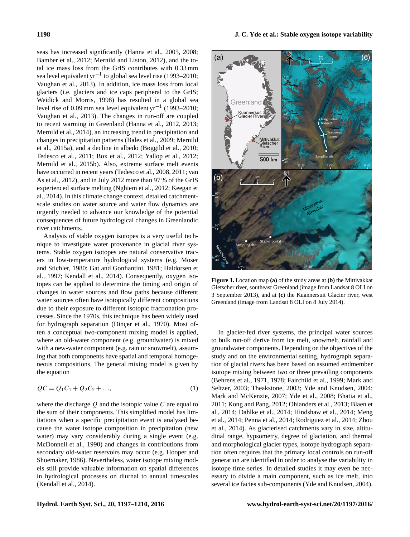seas has increased significantly (Hanna et al., 2005, 2008; Bamber et al., 2012; Mernild and Liston, 2012), and the total ice mass loss from the GrIS contributes with 0.33 mm sea level equivalent yr<sup>-1</sup> to global sea level rise (1993–2010; Vaughan et al., 2013). In addition, ice mass loss from local glaciers (i.e. glaciers and ice caps peripheral to the GrIS; Weidick and Morris, 1998) has resulted in a global sea level rise of 0.09 mm sea level equivalent yr<sup>-1</sup> (1993–2010; Vaughan et al., 2013). The changes in run-off are coupled to recent warming in Greenland (Hanna et al., 2012, 2013; Mernild et al., 2014), an increasing trend in precipitation and changes in precipitation patterns (Bales et al., 2009; Mernild et al., 2015a), and a decline in albedo (Bøggild et al., 2010; Tedesco et al., 2011; Box et al., 2012; Yallop et al., 2012; Mernild et al., 2015b). Also, extreme surface melt events have occurred in recent years (Tedesco et al., 2008, 2011; van As et al., 2012), and in July 2012 more than 97 % of the GrIS experienced surface melting (Nghiem et al., 2012; Keegan et al., 2014). In this climate change context, detailed catchmentscale studies on water source and water flow dynamics are urgently needed to advance our knowledge of the potential consequences of future hydrological changes in Greenlandic river catchments.

Analysis of stable oxygen isotopes is a very useful technique to investigate water provenance in glacial river systems. Stable oxygen isotopes are natural conservative tracers in low-temperature hydrological systems (e.g. Moser and Stichler, 1980; Gat and Gonfiantini, 1981; Haldorsen et al., 1997; Kendall et al., 2014). Consequently, oxygen isotopes can be applied to determine the timing and origin of changes in water sources and flow paths because different water sources often have isotopically different compositions due to their exposure to different isotopic fractionation processes. Since the 1970s, this technique has been widely used for hydrograph separation (Dinçer et al., 1970). Most often a conceptual two-component mixing model is applied, where an old-water component (e.g. groundwater) is mixed with a new-water component (e.g. rain or snowmelt), assuming that both components have spatial and temporal homogeneous compositions. The general mixing model is given by the equation

$$
QC = Q_1C_1 + Q_2C_2 + ..., \tag{1}
$$

where the discharge  $Q$  and the isotopic value  $C$  are equal to the sum of their components. This simplified model has limitations when a specific precipitation event is analysed because the water isotope composition in precipitation (new water) may vary considerably during a single event (e.g. McDonnell et al., 1990) and changes in contributions from secondary old-water reservoirs may occur (e.g. Hooper and Shoemaker, 1986). Nevertheless, water isotope mixing models still provide valuable information on spatial differences in hydrological processes on diurnal to annual timescales (Kendall et al., 2014).



**Figure 1.** Location map **(a)** of the study areas at **(b)** the Mittivakkat Gletscher river, southeast Greenland (image from Landsat 8 OLI on 3 September 2013), and at **(c)** the Kuannersuit Glacier river, west Greenland (image from Landsat 8 OLI on 8 July 2014).

In glacier-fed river systems, the principal water sources to bulk run-off derive from ice melt, snowmelt, rainfall and groundwater components. Depending on the objectives of the study and on the environmental setting, hydrograph separation of glacial rivers has been based on assumed endmember isotope mixing between two or three prevailing components (Behrens et al., 1971, 1978; Fairchild et al., 1999; Mark and Seltzer, 2003; Theakstone, 2003; Yde and Knudsen, 2004; Mark and McKenzie, 2007; Yde et al., 2008; Bhatia et al., 2011; Kong and Pang, 2012; Ohlanders et al., 2013; Blaen et al., 2014; Dahlke et al., 2014; Hindshaw et al., 2014; Meng et al., 2014; Penna et al., 2014; Rodriguez et al., 2014; Zhou et al., 2014). As glacierised catchments vary in size, altitudinal range, hypsometry, degree of glaciation, and thermal and morphological glacier types, isotope hydrograph separation often requires that the primary local controls on run-off generation are identified in order to analyse the variability in isotope time series. In detailed studies it may even be necessary to divide a main component, such as ice melt, into several ice facies sub-components (Yde and Knudsen, 2004).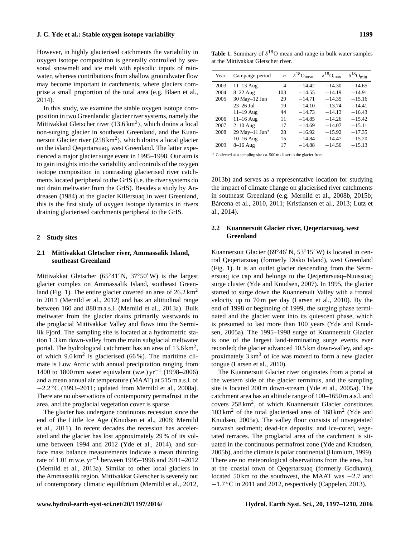However, in highly glacierised catchments the variability in oxygen isotope composition is generally controlled by seasonal snowmelt and ice melt with episodic inputs of rainwater, whereas contributions from shallow groundwater flow may become important in catchments, where glaciers comprise a small proportion of the total area (e.g. Blaen et al., 2014).

In this study, we examine the stable oxygen isotope composition in two Greenlandic glacier river systems, namely the Mittivakkat Gletscher river  $(13.6 \text{ km}^2)$ , which drains a local non-surging glacier in southeast Greenland, and the Kuannersuit Glacier river  $(258 \text{ km}^2)$ , which drains a local glacier on the island Qeqertarsuaq, west Greenland. The latter experienced a major glacier surge event in 1995–1998. Our aim is to gain insights into the variability and controls of the oxygen isotope composition in contrasting glacierised river catchments located peripheral to the GrIS (i.e. the river systems do not drain meltwater from the GrIS). Besides a study by Andreasen (1984) at the glacier Killersuaq in west Greenland, this is the first study of oxygen isotope dynamics in rivers draining glacierised catchments peripheral to the GrIS.

### **2 Study sites**

# **2.1 Mittivakkat Gletscher river, Ammassalik Island, southeast Greenland**

Mittivakkat Gletscher (65°41′ N, 37°50′ W) is the largest glacier complex on Ammassalik Island, southeast Greenland (Fig. 1). The entire glacier covered an area of  $26.2 \text{ km}^2$ in 2011 (Mernild et al., 2012) and has an altitudinal range between 160 and 880 m a.s.l. (Mernild et al., 2013a). Bulk meltwater from the glacier drains primarily westwards to the proglacial Mittivakkat Valley and flows into the Sermilik Fjord. The sampling site is located at a hydrometric station 1.3 km down-valley from the main subglacial meltwater portal. The hydrological catchment has an area of  $13.6 \text{ km}^2$ , of which  $9.0 \text{ km}^2$  is glacierised (66%). The maritime climate is Low Arctic with annual precipitation ranging from 1400 to 1800 mm water equivalent (w.e.) yr−<sup>1</sup> (1998–2006) and a mean annual air temperature (MAAT) at 515 m a.s.l. of −2.2 ◦C (1993–2011; updated from Mernild et al., 2008a). There are no observations of contemporary permafrost in the area, and the proglacial vegetation cover is sparse.

The glacier has undergone continuous recession since the end of the Little Ice Age (Knudsen et al., 2008; Mernild et al., 2011). In recent decades the recession has accelerated and the glacier has lost approximately 29 % of its volume between 1994 and 2012 (Yde et al., 2014), and surface mass balance measurements indicate a mean thinning rate of 1.01 m w.e. yr−<sup>1</sup> between 1995–1996 and 2011–2012 (Mernild et al., 2013a). Similar to other local glaciers in the Ammassalik region, Mittivakkat Gletscher is severely out of contemporary climatic equilibrium (Mernild et al., 2012,

**Table 1.** Summary of  $\delta^{18}$ O mean and range in bulk water samples at the Mittivakkat Gletscher river.

| Year | Campaign period | $\boldsymbol{n}$ | $\delta^{18}$ Omean | $\delta^{18}$ Omax | $\delta^{18}O_{\text{min}}$ |
|------|-----------------|------------------|---------------------|--------------------|-----------------------------|
| 2003 | $11-13$ Aug     | 4                | $-14.42$            | $-14.30$           | $-14.65$                    |
| 2004 | $8-22$ Aug      | 103              | $-14.55$            | $-14.19$           | $-14.91$                    |
| 2005 | 30 May-12 Jun   | 29               | $-14.71$            | $-14.35$           | $-15.16$                    |
|      | $23 - 26$ Jul   | 19               | $-14.10$            | $-13.74$           | $-14.41$                    |
|      | $11-19$ Aug     | 44               | $-14.73$            | $-14.13$           | $-16.43$                    |
| 2006 | $11-16$ Aug     | 11               | $-14.85$            | $-14.26$           | $-15.42$                    |
| 2007 | $2-10$ Aug      | 17               | $-14.69$            | $-14.07$           | $-15.11$                    |
| 2008 | 29 May-11 Jun*  | 28               | $-16.92$            | $-15.92$           | $-17.35$                    |
|      | $10-16$ Aug     | 15               | $-14.84$            | $-14.47$           | $-15.20$                    |
| 2009 | $8-16$ Aug      | 17               | $-14.88$            | $-14.56$           | $-15.13$                    |

<sup>∗</sup> Collected at a sampling site ca. 500 m closer to the glacier front.

2013b) and serves as a representative location for studying the impact of climate change on glacierised river catchments in southeast Greenland (e.g. Mernild et al., 2008b, 2015b; Bárcena et al., 2010, 2011; Kristiansen et al., 2013; Lutz et al., 2014).

# **2.2 Kuannersuit Glacier river, Qeqertarsuaq, west Greenland**

Kuannersuit Glacier (69°46′ N, 53°15′ W) is located in central Qeqertarsuaq (formerly Disko Island), west Greenland (Fig. 1). It is an outlet glacier descending from the Sermersuaq ice cap and belongs to the Qeqertarsuaq–Nuussuaq surge cluster (Yde and Knudsen, 2007). In 1995, the glacier started to surge down the Kuannersuit Valley with a frontal velocity up to 70 m per day (Larsen et al., 2010). By the end of 1998 or beginning of 1999, the surging phase terminated and the glacier went into its quiescent phase, which is presumed to last more than 100 years (Yde and Knudsen, 2005a). The 1995–1998 surge of Kuannersuit Glacier is one of the largest land-terminating surge events ever recorded; the glacier advanced 10.5 km down-valley, and approximately  $3 \text{ km}^3$  of ice was moved to form a new glacier tongue (Larsen et al., 2010).

The Kuannersuit Glacier river originates from a portal at the western side of the glacier terminus, and the sampling site is located 200 m down-stream (Yde et al., 2005a). The catchment area has an altitude range of 100–1650 m a.s.l. and covers 258 km<sup>2</sup> , of which Kuannersuit Glacier constitutes 103 km<sup>2</sup> of the total glacierised area of 168 km<sup>2</sup> (Yde and Knudsen, 2005a). The valley floor consists of unvegetated outwash sediment; dead-ice deposits; and ice-cored, vegetated terraces. The proglacial area of the catchment is situated in the continuous permafrost zone (Yde and Knudsen, 2005b), and the climate is polar continental (Humlum, 1999). There are no meteorological observations from the area, but at the coastal town of Qeqertarsuaq (formerly Godhavn), located 50 km to the southwest, the MAAT was −2.7 and −1.7 ◦C in 2011 and 2012, respectively (Cappelen, 2013).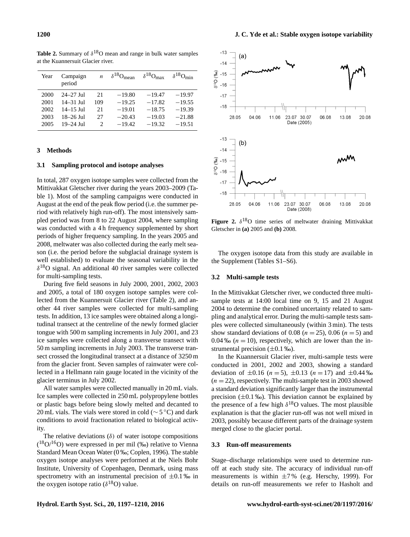| Year | Campaign<br>period | $\boldsymbol{n}$ | $\delta^{18}O_{\text{mean}}$ | $\delta^{18}O_{\text{max}}$ | $\delta^{18}O_{\text{min}}$ |
|------|--------------------|------------------|------------------------------|-----------------------------|-----------------------------|
| 2000 | $24 - 27$ Jul      | 21               | $-19.80$                     | $-19.47$                    | $-19.97$                    |
| 2001 | $14 - 31$ Jul      | 109              | $-19.25$                     | $-17.82$                    | $-19.55$                    |
| 2002 | $14 - 15$ Jul      | 21               | $-19.01$                     | $-18.75$                    | $-19.39$                    |
| 2003 | $18 - 26$ Jul      | 27               | $-20.43$                     | $-19.03$                    | $-21.88$                    |
| 2005 | $19 - 24$ Jul      | 2                | $-19.42$                     | $-19.32$                    | $-19.51$                    |

**Table 2.** Summary of  $\delta^{18}$ O mean and range in bulk water samples at the Kuannersuit Glacier river.

# **3 Methods**

#### **3.1 Sampling protocol and isotope analyses**

In total, 287 oxygen isotope samples were collected from the Mittivakkat Gletscher river during the years 2003–2009 (Table 1). Most of the sampling campaigns were conducted in August at the end of the peak flow period (i.e. the summer period with relatively high run-off). The most intensively sampled period was from 8 to 22 August 2004, where sampling was conducted with a 4 h frequency supplemented by short periods of higher frequency sampling. In the years 2005 and 2008, meltwater was also collected during the early melt season (i.e. the period before the subglacial drainage system is well established) to evaluate the seasonal variability in the  $\delta^{18}$ O signal. An additional 40 river samples were collected for multi-sampling tests.

During five field seasons in July 2000, 2001, 2002, 2003 and 2005, a total of 180 oxygen isotope samples were collected from the Kuannersuit Glacier river (Table 2), and another 44 river samples were collected for multi-sampling tests. In addition, 13 ice samples were obtained along a longitudinal transect at the centreline of the newly formed glacier tongue with 500 m sampling increments in July 2001, and 23 ice samples were collected along a transverse transect with 50 m sampling increments in July 2003. The transverse transect crossed the longitudinal transect at a distance of 3250 m from the glacier front. Seven samples of rainwater were collected in a Hellmann rain gauge located in the vicinity of the glacier terminus in July 2002.

All water samples were collected manually in 20 mL vials. Ice samples were collected in 250 mL polypropylene bottles or plastic bags before being slowly melted and decanted to 20 mL vials. The vials were stored in cold (∼ 5 ◦C) and dark conditions to avoid fractionation related to biological activity.

The relative deviations  $(\delta)$  of water isotope compositions  $($ <sup>18</sup>O $/$ <sup>16</sup>O) were expressed in per mil (‰) relative to Vienna Standard Mean Ocean Water (0 ‰; Coplen, 1996). The stable oxygen isotope analyses were performed at the Niels Bohr Institute, University of Copenhagen, Denmark, using mass spectrometry with an instrumental precision of  $\pm 0.1$  ‰ in the oxygen isotope ratio  $(\delta^{18}O)$  value.



**Figure 2.**  $\delta^{18}O$  time series of meltwater draining Mittivakkat Gletscher in **(a)** 2005 and **(b)** 2008.

The oxygen isotope data from this study are available in the Supplement (Tables S1–S6).

# **3.2 Multi-sample tests**

In the Mittivakkat Gletscher river, we conducted three multisample tests at 14:00 local time on 9, 15 and 21 August 2004 to determine the combined uncertainty related to sampling and analytical error. During the multi-sample tests samples were collected simultaneously (within 3 min). The tests show standard deviations of 0.08 ( $n = 25$ ), 0.06 ( $n = 5$ ) and 0.04 ‰ ( $n = 10$ ), respectively, which are lower than the instrumental precision  $(\pm 0.1 \text{ %})$ .

In the Kuannersuit Glacier river, multi-sample tests were conducted in 2001, 2002 and 2003, showing a standard deviation of  $\pm 0.16$  ( $n = 5$ ),  $\pm 0.13$  ( $n = 17$ ) and  $\pm 0.44$  ‰  $(n = 22)$ , respectively. The multi-sample test in 2003 showed a standard deviation significantly larger than the instrumental precision  $(\pm 0.1\%)$ . This deviation cannot be explained by the presence of a few high  $\delta^{18}$ O values. The most plausible explanation is that the glacier run-off was not well mixed in 2003, possibly because different parts of the drainage system merged close to the glacier portal.

# **3.3 Run-off measurements**

Stage–discharge relationships were used to determine runoff at each study site. The accuracy of individual run-off measurements is within  $\pm 7$ % (e.g. Herschy, 1999). For details on run-off measurements we refer to Hasholt and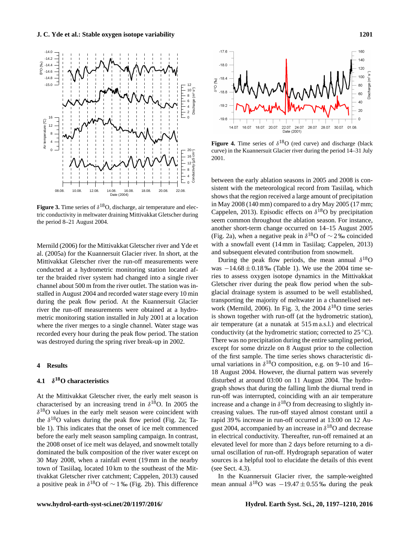

**Figure 3.** Time series of  $\delta^{18}O$ , discharge, air temperature and electric conductivity in meltwater draining Mittivakkat Gletscher during the period 8–21 August 2004.

Mernild (2006) for the Mittivakkat Gletscher river and Yde et al. (2005a) for the Kuannersuit Glacier river. In short, at the Mittivakkat Gletscher river the run-off measurements were conducted at a hydrometric monitoring station located after the braided river system had changed into a single river channel about 500 m from the river outlet. The station was installed in August 2004 and recorded water stage every 10 min during the peak flow period. At the Kuannersuit Glacier river the run-off measurements were obtained at a hydrometric monitoring station installed in July 2001 at a location where the river merges to a single channel. Water stage was recorded every hour during the peak flow period. The station was destroyed during the spring river break-up in 2002.

# **4 Results**

#### **4.1** δ **<sup>18</sup>O characteristics**

At the Mittivakkat Gletscher river, the early melt season is characterised by an increasing trend in  $\delta^{18}$ O. In 2005 the  $\delta^{18}$ O values in the early melt season were coincident with the  $\delta^{18}$ O values during the peak flow period (Fig. 2a; Table 1). This indicates that the onset of ice melt commenced before the early melt season sampling campaign. In contrast, the 2008 onset of ice melt was delayed, and snowmelt totally dominated the bulk composition of the river water except on 30 May 2008, when a rainfall event (19 mm in the nearby town of Tasiilaq, located 10 km to the southeast of the Mittivakkat Gletscher river catchment; Cappelen, 2013) caused a positive peak in  $\delta^{18}O$  of ~ 1‰ (Fig. 2b). This difference



**Figure 4.** Time series of  $\delta^{18}O$  (red curve) and discharge (black curve) in the Kuannersuit Glacier river during the period 14–31 July 2001.

between the early ablation seasons in 2005 and 2008 is consistent with the meteorological record from Tasiilaq, which shows that the region received a large amount of precipitation in May 2008 (140 mm) compared to a dry May 2005 (17 mm; Cappelen, 2013). Episodic effects on  $\delta^{18}$ O by precipitation seem common throughout the ablation season. For instance, another short-term change occurred on 14–15 August 2005 (Fig. 2a), when a negative peak in  $\delta^{18}$ O of ~ 2‰ coincided with a snowfall event (14 mm in Tasiilaq; Cappelen, 2013) and subsequent elevated contribution from snowmelt.

During the peak flow periods, the mean annual  $\delta^{18}$ O was  $-14.68 \pm 0.18$  ‰ (Table 1). We use the 2004 time series to assess oxygen isotope dynamics in the Mittivakkat Gletscher river during the peak flow period when the subglacial drainage system is assumed to be well established, transporting the majority of meltwater in a channelised network (Mernild, 2006). In Fig. 3, the 2004  $\delta^{18}$ O time series is shown together with run-off (at the hydrometric station), air temperature (at a nunatak at 515 m a.s.l.) and electrical conductivity (at the hydrometric station; corrected to  $25^{\circ}$ C). There was no precipitation during the entire sampling period, except for some drizzle on 8 August prior to the collection of the first sample. The time series shows characteristic diurnal variations in  $\delta^{18}$ O composition, e.g. on 9–10 and 16– 18 August 2004. However, the diurnal pattern was severely disturbed at around 03:00 on 11 August 2004. The hydrograph shows that during the falling limb the diurnal trend in run-off was interrupted, coinciding with an air temperature increase and a change in  $\delta^{18}$ O from decreasing to slightly increasing values. The run-off stayed almost constant until a rapid 39 % increase in run-off occurred at 13:00 on 12 August 2004, accompanied by an increase in  $\delta^{18}$ O and decrease in electrical conductivity. Thereafter, run-off remained at an elevated level for more than 2 days before returning to a diurnal oscillation of run-off. Hydrograph separation of water sources is a helpful tool to elucidate the details of this event (see Sect. 4.3).

In the Kuannersuit Glacier river, the sample-weighted mean annual  $\delta^{18}$ O was  $-19.47 \pm 0.55$  ‰ during the peak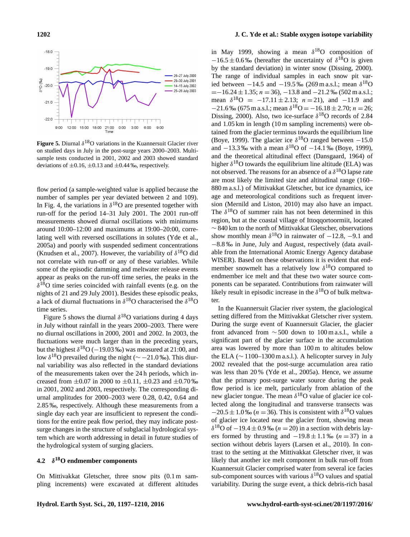



**Figure 5.** Diurnal  $\delta^{18}$ O variations in the Kuannersuit Glacier river on studied days in July in the post-surge years 2000–2003. Multisample tests conducted in 2001, 2002 and 2003 showed standard deviations of  $\pm 0.16$ ,  $\pm 0.13$  and  $\pm 0.44$ %, respectively.

flow period (a sample-weighted value is applied because the number of samples per year deviated between 2 and 109). In Fig. 4, the variations in  $\delta^{18}$ O are presented together with run-off for the period 14–31 July 2001. The 2001 run-off measurements showed diurnal oscillations with minimums around 10:00–12:00 and maximums at 19:00–20:00, correlating well with reversed oscillations in solutes (Yde et al., 2005a) and poorly with suspended sediment concentrations (Knudsen et al., 2007). However, the variability of  $\delta^{18}O$  did not correlate with run-off or any of these variables. While some of the episodic damming and meltwater release events appear as peaks on the run-off time series, the peaks in the  $\delta^{18}$ O time series coincided with rainfall events (e.g. on the nights of 21 and 29 July 2001). Besides these episodic peaks, a lack of diurnal fluctuations in  $\delta^{18}$ O characterised the  $\delta^{18}$ O time series.

Figure 5 shows the diurnal  $\delta^{18}$ O variations during 4 days in July without rainfall in the years 2000–2003. There were no diurnal oscillations in 2000, 2001 and 2002. In 2003, the fluctuations were much larger than in the preceding years, but the highest  $\delta^{18}O(-19.03\%)$  was measured at 21:00, and low  $\delta^{18}$ O prevailed during the night ( $\sim$  -21.0 ‰). This diurnal variability was also reflected in the standard deviations of the measurements taken over the 24 h periods, which increased from  $\pm 0.07$  in 2000 to  $\pm 0.11$ ,  $\pm 0.23$  and  $\pm 0.70$  ‰ in 2001, 2002 and 2003, respectively. The corresponding diurnal amplitudes for 2000–2003 were 0.28, 0.42, 0.64 and 2.85 ‰, respectively. Although these measurements from a single day each year are insufficient to represent the conditions for the entire peak flow period, they may indicate postsurge changes in the structure of subglacial hydrological system which are worth addressing in detail in future studies of the hydrological system of surging glaciers.

#### **4.2** δ **<sup>18</sup>O endmember components**

On Mittivakkat Gletscher, three snow pits (0.1 m sampling increments) were excavated at different altitudes

in May 1999, showing a mean  $\delta^{18}$ O composition of  $-16.5 \pm 0.6$  % (hereafter the uncertainty of  $\delta^{18}$ O is given by the standard deviation) in winter snow (Dissing, 2000). The range of individual samples in each snow pit varied between  $-14.5$  and  $-19.5$  ‰ (269 m a.s.l.; mean  $\delta^{18}O$  $=-16.24 \pm 1.35$ ;  $n = 36$ ),  $-13.8$  and  $-21.2$  ‰ (502 m a.s.l.; mean  $\delta^{18}O = -17.11 \pm 2.13$ ;  $n = 21$ ), and  $-11.9$  and  $-21.6\%$  (675 m a.s.l.; mean  $\delta^{18}O = -16.18 \pm 2.70$ ;  $n = 26$ ; Dissing, 2000). Also, two ice-surface  $\delta^{18}$ O records of 2.84 and 1.05 km in length (10 m sampling increments) were obtained from the glacier terminus towards the equilibrium line (Boye, 1999). The glacier ice  $\delta^{18}$ O ranged between -15.0 and  $-13.3$  ‰ with a mean  $\delta^{18}$ O of  $-14.1$  ‰ (Boye, 1999), and the theoretical altitudinal effect (Dansgaard, 1964) of higher  $\delta^{18}$ O towards the equilibrium line altitude (ELA) was not observed. The reasons for an absence of a  $\delta^{18}O$  lapse rate are most likely the limited size and altitudinal range (160– 880 m a.s.l.) of Mittivakkat Gletscher, but ice dynamics, ice age and meteorological conditions such as frequent inversion (Mernild and Liston, 2010) may also have an impact. The  $\delta^{18}$ O of summer rain has not been determined in this region, but at the coastal village of Ittoqqortoormiit, located ∼ 840 km to the north of Mittivakkat Gletscher, observations show monthly mean  $\delta^{18}$ O in rainwater of  $-12.8$ ,  $-9.1$  and −8.8 ‰ in June, July and August, respectively (data available from the International Atomic Energy Agency database WISER). Based on these observations it is evident that endmember snowmelt has a relatively low  $\delta^{18}$ O compared to endmember ice melt and that these two water source components can be separated. Contributions from rainwater will likely result in episodic increase in the  $\delta^{18}$ O of bulk meltwater.

In the Kuannersuit Glacier river system, the glaciological setting differed from the Mittivakkat Gletscher river system. During the surge event of Kuannersuit Glacier, the glacier front advanced from  $\sim$  500 down to 100 m a.s.l., while a significant part of the glacier surface in the accumulation area was lowered by more than 100 m to altitudes below the ELA ( $\sim$  1100–1300 m a.s.l.). A helicopter survey in July 2002 revealed that the post-surge accumulation area ratio was less than 20 % (Yde et al., 2005a). Hence, we assume that the primary post-surge water source during the peak flow period is ice melt, particularly from ablation of the new glacier tongue. The mean  $\delta^{18}$ O value of glacier ice collected along the longitudinal and transverse transects was  $-20.5 \pm 1.0$  ‰ ( $n = 36$ ). This is consistent with  $\delta^{18}$ O values of glacier ice located near the glacier front, showing mean  $\delta^{18}$ O of  $-19.4 \pm 0.9$  ‰ ( $n = 20$ ) in a section with debris layers formed by thrusting and  $-19.8 \pm 1.1$  ‰ ( $n = 37$ ) in a section without debris layers (Larsen et al., 2010). In contrast to the setting at the Mittivakkat Gletscher river, it was likely that another ice melt component in bulk run-off from Kuannersuit Glacier comprised water from several ice facies sub-component sources with various  $\delta^{18}$ O values and spatial variability. During the surge event, a thick debris-rich basal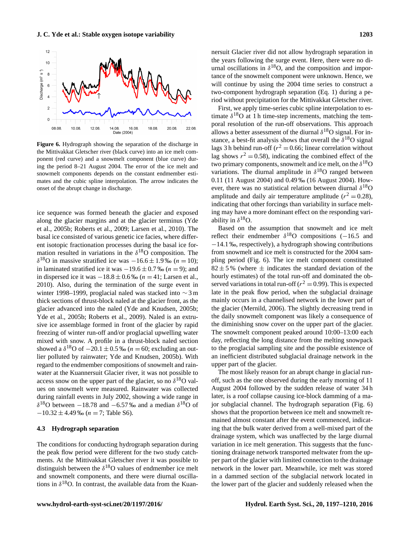

**Figure 6.** Hydrograph showing the separation of the discharge in the Mittivakkat Gletscher river (black curve) into an ice melt component (red curve) and a snowmelt component (blue curve) during the period 8–21 August 2004. The error of the ice melt and snowmelt components depends on the constant endmember estimates and the cubic spline interpolation. The arrow indicates the onset of the abrupt change in discharge.

ice sequence was formed beneath the glacier and exposed along the glacier margins and at the glacier terminus (Yde et al., 2005b; Roberts et al., 2009; Larsen et al., 2010). The basal ice consisted of various genetic ice facies, where different isotopic fractionation processes during the basal ice formation resulted in variations in the  $\delta^{18}$ O composition. The  $\delta^{18}$ O in massive stratified ice was  $-16.6 \pm 1.9$  ‰ (n = 10); in laminated stratified ice it was  $-19.6 \pm 0.7$  ‰ ( $n = 9$ ); and in dispersed ice it was  $-18.8 \pm 0.6$  ‰ ( $n = 41$ ; Larsen et al., 2010). Also, during the termination of the surge event in winter 1998–1999, proglacial naled was stacked into ∼ 3 m thick sections of thrust-block naled at the glacier front, as the glacier advanced into the naled (Yde and Knudsen, 2005b; Yde et al., 2005b; Roberts et al., 2009). Naled is an extrusive ice assemblage formed in front of the glacier by rapid freezing of winter run-off and/or proglacial upwelling water mixed with snow. A profile in a thrust-block naled section showed a  $\delta^{18}$ O of  $-20.1 \pm 0.5$  ‰ (*n* = 60; excluding an outlier polluted by rainwater; Yde and Knudsen, 2005b). With regard to the endmember compositions of snowmelt and rainwater at the Kuannersuit Glacier river, it was not possible to access snow on the upper part of the glacier, so no  $\delta^{18}$ O values on snowmelt were measured. Rainwater was collected during rainfall events in July 2002, showing a wide range in  $\delta^{18}$ O between -18.78 and -6.57‰ and a median  $\delta^{18}$ O of  $-10.32 \pm 4.49$  ‰ (n = 7; Table S6).

# **4.3 Hydrograph separation**

The conditions for conducting hydrograph separation during the peak flow period were different for the two study catchments. At the Mittivakkat Gletscher river it was possible to distinguish between the  $\delta^{18}$ O values of endmember ice melt and snowmelt components, and there were diurnal oscillations in  $\delta^{18}O$ . In contrast, the available data from the Kuannersuit Glacier river did not allow hydrograph separation in the years following the surge event. Here, there were no diurnal oscillations in  $\delta^{18}O$ , and the composition and importance of the snowmelt component were unknown. Hence, we will continue by using the 2004 time series to construct a two-component hydrograph separation (Eq. 1) during a period without precipitation for the Mittivakkat Gletscher river.

First, we apply time-series cubic spline interpolation to estimate  $\delta^{18}$ O at 1 h time-step increments, matching the temporal resolution of the run-off observations. This approach allows a better assessment of the diurnal  $\delta^{18}$ O signal. For instance, a best-fit analysis shows that overall the  $\delta^{18}O$  signal lags 3 h behind run-off ( $r^2 = 0.66$ ; linear correlation without lag shows  $r^2 = 0.58$ ), indicating the combined effect of the two primary components, snowmelt and ice melt, on the  $\delta^{18}O$ variations. The diurnal amplitude in  $\delta^{18}O$  ranged between 0.11 (11 August 2004) and 0.49 ‰ (16 August 2004). However, there was no statistical relation between diurnal  $\delta^{18}$ O amplitude and daily air temperature amplitude ( $r^2 = 0.28$ ), indicating that other forcings than variability in surface melting may have a more dominant effect on the responding variability in  $\delta^{18}O$ .

Based on the assumption that snowmelt and ice melt reflect their endmember  $\delta^{18}$ O compositions (-16.5 and −14.1 ‰, respectively), a hydrograph showing contributions from snowmelt and ice melt is constructed for the 2004 sampling period (Fig. 6). The ice melt component constituted  $82 \pm 5$ % (where  $\pm$  indicates the standard deviation of the hourly estimates) of the total run-off and dominated the observed variations in total run-off ( $r^2 = 0.99$ ). This is expected late in the peak flow period, when the subglacial drainage mainly occurs in a channelised network in the lower part of the glacier (Mernild, 2006). The slightly decreasing trend in the daily snowmelt component was likely a consequence of the diminishing snow cover on the upper part of the glacier. The snowmelt component peaked around 10:00–13:00 each day, reflecting the long distance from the melting snowpack to the proglacial sampling site and the possible existence of an inefficient distributed subglacial drainage network in the upper part of the glacier.

The most likely reason for an abrupt change in glacial runoff, such as the one observed during the early morning of 11 August 2004 followed by the sudden release of water 34 h later, is a roof collapse causing ice-block damming of a major subglacial channel. The hydrograph separation (Fig. 6) shows that the proportion between ice melt and snowmelt remained almost constant after the event commenced, indicating that the bulk water derived from a well-mixed part of the drainage system, which was unaffected by the large diurnal variation in ice melt generation. This suggests that the functioning drainage network transported meltwater from the upper part of the glacier with limited connection to the drainage network in the lower part. Meanwhile, ice melt was stored in a dammed section of the subglacial network located in the lower part of the glacier and suddenly released when the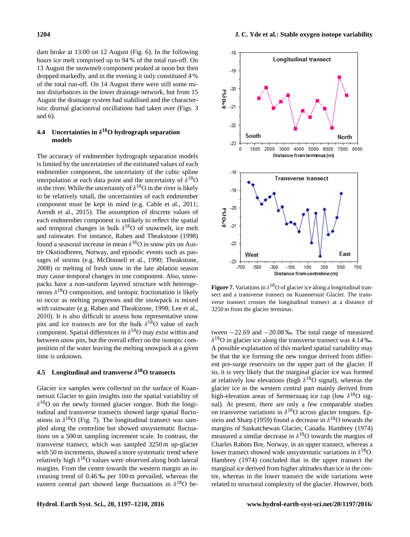dam broke at 13:00 on 12 August (Fig. 6). In the following hours ice melt comprised up to 94 % of the total run-off. On 13 August the snowmelt component peaked at noon but then dropped markedly, and in the evening it only constituted 4 % of the total run-off. On 14 August there were still some minor disturbances in the lower drainage network, but from 15 August the drainage system had stabilised and the characteristic diurnal glacionival oscillations had taken over (Figs. 3 and 6).

# **4.4 Uncertainties in** δ **<sup>18</sup>O hydrograph separation models**

The accuracy of endmember hydrograph separation models is limited by the uncertainties of the estimated values of each endmember component, the uncertainty of the cubic spline interpolation at each data point and the uncertainty of  $\delta^{18}O$ in the river. While the uncertainty of  $\delta^{18}O$  in the river is likely to be relatively small, the uncertainties of each endmember component must be kept in mind (e.g. Cable et al., 2011; Arendt et al., 2015). The assumption of discrete values of each endmember component is unlikely to reflect the spatial and temporal changes in bulk  $\delta^{18}$ O of snowmelt, ice melt and rainwater. For instance, Raben and Theakstone (1998) found a seasonal increase in mean  $\delta^{18}$ O in snow pits on Austre Okstindbreen, Norway, and episodic events such as passages of storms (e.g. McDonnell et al., 1990; Theakstone, 2008) or melting of fresh snow in the late ablation season may cause temporal changes in one component. Also, snowpacks have a non-uniform layered structure with heterogeneous  $\delta^{18}$ O composition, and isotopic fractionation is likely to occur as melting progresses and the snowpack is mixed with rainwater (e.g. Raben and Theakstone, 1998; Lee et al., 2010). It is also difficult to assess how representative snow pits and ice transects are for the bulk  $\delta^{18}$ O value of each component. Spatial differences in  $\delta^{18}O$  may exist within and between snow pits, but the overall effect on the isotopic composition of the water leaving the melting snowpack at a given time is unknown.

# **4.5 Longitudinal and transverse** δ **<sup>18</sup>O transects**

Glacier ice samples were collected on the surface of Kuannersuit Glacier to gain insights into the spatial variability of  $\delta^{18}$ O on the newly formed glacier tongue. Both the longitudinal and transverse transects showed large spatial fluctuations in  $\delta^{18}O$  (Fig. 7). The longitudinal transect was sampled along the centreline but showed unsystematic fluctuations on a 500 m sampling increment scale. In contrast, the transverse transect, which was sampled 3250 m up-glacier with 50 m increments, showed a more systematic trend where relatively high  $\delta^{18}O$  values were observed along both lateral margins. From the centre towards the western margin an increasing trend of 0.46 ‰ per 100 m prevailed, whereas the eastern central part showed large fluctuations in  $\delta^{18}O$  be-



**Figure 7.** Variations in  $\delta^{18}$ O of glacier ice along a longitudinal transect and a transverse transect on Kuannersuit Glacier. The transverse transect crosses the longitudinal transect at a distance of 3250 m from the glacier terminus.

tween −22.69 and −20.08 ‰. The total range of measured  $\delta^{18}$ O in glacier ice along the transverse transect was 4.14 ‰. A possible explanation of this marked spatial variability may be that the ice forming the new tongue derived from different pre-surge reservoirs on the upper part of the glacier. If so, it is very likely that the marginal glacier ice was formed at relatively low elevations (high  $\delta^{18}O$  signal), whereas the glacier ice in the western central part mainly derived from high-elevation areas of Sermersuaq ice cap (low  $\delta^{18}O$  signal). At present, there are only a few comparable studies on transverse variations in  $\delta^{18}$ O across glacier tongues. Epstein and Sharp (1959) found a decrease in  $\delta^{18}$ O towards the margins of Saskatchewan Glacier, Canada. Hambrey (1974) measured a similar decrease in  $\delta^{18}$ O towards the margins of Charles Rabots Bre, Norway, in an upper transect, whereas a lower transect showed wide unsystematic variations in  $\delta^{18}O$ . Hambrey (1974) concluded that in the upper transect the marginal ice derived from higher altitudes than ice in the centre, whereas in the lower transect the wide variations were related to structural complexity of the glacier. However, both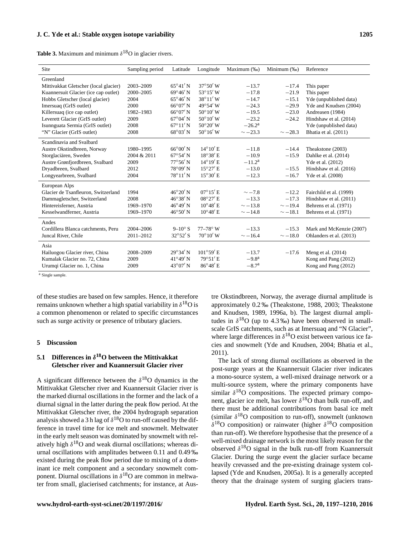**Table 3.** Maximum and minimum  $\delta^{18}$ O in glacier rivers.

| Site                                  | Sampling period | Latitude          | Longitude           | Maximum (‰)     | Minimum (‰)  | Reference                |
|---------------------------------------|-----------------|-------------------|---------------------|-----------------|--------------|--------------------------|
| Greenland                             |                 |                   |                     |                 |              |                          |
| Mittivakkat Gletscher (local glacier) | 2003-2009       | $65^{\circ}41'$ N | $37^{\circ}50'$ W   | $-13.7$         | $-17.4$      | This paper               |
| Kuannersuit Glacier (ice cap outlet)  | 2000-2005       | $69^{\circ}46'$ N | $53^{\circ}15'$ W   | $-17.8$         | $-21.9$      | This paper               |
| Hobbs Gletscher (local glacier)       | 2004            | $65^{\circ}46'$ N | $38^{\circ}11'$ W   | $-14.7$         | $-15.1$      | Yde (unpublished data)   |
| Imersuaq (GrIS outlet)                | 2000            | $66^{\circ}07'$ N | 49°54' W            | $-24.3$         | $-29.9$      | Yde and Knudsen (2004)   |
| Killersuag (ice cap outlet)           | 1982-1983       | $66^{\circ}07'$ N | $50^{\circ}10'$ W   | $-19.5$         | $-23.0$      | Andreasen (1984)         |
| Leverett Glacier (GrIS outlet)        | 2009            | $67^{\circ}04'$ N | $50^{\circ}10'$ W   | $-23.2$         | $-24.2$      | Hindshaw et al. (2014)   |
| Isunnguata Sermia (GrIS outlet)       | 2008            | $67^{\circ}11'$ N | $50^{\circ}20'$ W   | $-26.2^{\rm a}$ |              | Yde (unpublished data)   |
| "N" Glacier (GrIS outlet)             | 2008            | $68^{\circ}03'$ N | $50^{\circ}16'$ W   | $\sim -23.3$    | $\sim -28.3$ | Bhatia et al. (2011)     |
| Scandinavia and Svalbard              |                 |                   |                     |                 |              |                          |
| Austre Okstindbreen, Norway           | 1980-1995       | $66^{\circ}00'$ N | $14^{\circ}10'$ E   | $-11.8$         | $-14.4$      | Theakstone (2003)        |
| Storglaciären, Sweden                 | 2004 & 2011     | $67^{\circ}54'$ N | $18^{\circ}38'$ E   | $-10.9$         | $-15.9$      | Dahlke et al. (2014)     |
| Austre Grønfjordbreen, Svalbard       | 2009            | $77^{\circ}56'$ N | $14^{\circ}19'$ E   | $-11.2^{\rm a}$ |              | Yde et al. (2012)        |
| Dryadbreen, Svalbard                  | 2012            | $78^{\circ}09'$ N | $15^{\circ}27'$ E   | $-13.0$         | $-15.5$      | Hindshaw et al. (2016)   |
| Longyearbreen, Svalbard               | 2004            | $78^{\circ}11'$ N | $15^{\circ}30'$ E   | $-12.3$         | $-16.7$      | Yde et al. (2008)        |
| European Alps                         |                 |                   |                     |                 |              |                          |
| Glacier de Tsanfleuron, Switzerland   | 1994            | $46^{\circ}20'$ N | $07^{\circ}15'$ E   | $\sim -7.8$     | $-12.2$      | Fairchild et al. (1999)  |
| Dammagletscher, Switzerland           | 2008            | $46^{\circ}38'$ N | $08^{\circ}27'$ E   | $-13.3$         | $-17.3$      | Hindshaw et al. (2011)   |
| Hintereisferner, Austria              | 1969-1970       | $46^{\circ}49'$ N | $10^{\circ}48'$ E   | $\sim$ -13.8    | $\sim$ -19.4 | Behrens et al. (1971)    |
| Kesselwandferner, Austria             | 1969-1970       | $46^{\circ}50'$ N | $10^{\circ}48'$ E   | $\sim$ -14.8    | $\sim -18.1$ | Behrens et al. (1971)    |
| Andes                                 |                 |                   |                     |                 |              |                          |
| Cordillera Blanca catchments, Peru    | 2004-2006       | $9-10^\circ$ S    | $77 - 78^{\circ}$ W | $-13.3$         | $-15.3$      | Mark and McKenzie (2007) |
| Juncal River, Chile                   | 2011-2012       | $32^{\circ}52'$ S | $70^{\circ}10'$ W   | $\sim -16.4$    | $\sim -18.0$ | Ohlanders et al. (2013)  |
| Asia                                  |                 |                   |                     |                 |              |                          |
| Hailuogou Glacier river, China        | 2008-2009       | $29^{\circ}34'$ N | $101^{\circ}59'$ E  | $-13.7$         | $-17.6$      | Meng et al. $(2014)$     |
| Kumalak Glacier no. 72. China         | 2009            | $41^{\circ}49'$ N | $79^{\circ}51'$ E   | $-9.8a$         |              | Kong and Pang (2012)     |
| Urumqi Glacier no. 1, China           | 2009            | $43^{\circ}07'$ N | $86^{\circ}48'$ E   | $-8.7a$         |              | Kong and Pang (2012)     |

<sup>a</sup> Single sample.

of these studies are based on few samples. Hence, it therefore remains unknown whether a high spatial variability in  $\delta^{18}O$  is a common phenomenon or related to specific circumstances such as surge activity or presence of tributary glaciers.

# **5 Discussion**

# **5.1 Differences in** δ **<sup>18</sup>O between the Mittivakkat Gletscher river and Kuannersuit Glacier river**

A significant difference between the  $\delta^{18}$ O dynamics in the Mittivakkat Gletscher river and Kuannersuit Glacier river is the marked diurnal oscillations in the former and the lack of a diurnal signal in the latter during the peak flow period. At the Mittivakkat Gletscher river, the 2004 hydrograph separation analysis showed a 3 h lag of  $\delta^{18}$ O to run-off caused by the difference in travel time for ice melt and snowmelt. Meltwater in the early melt season was dominated by snowmelt with relatively high  $\delta^{18}O$  and weak diurnal oscillations; whereas diurnal oscillations with amplitudes between 0.11 and 0.49 ‰ existed during the peak flow period due to mixing of a dominant ice melt component and a secondary snowmelt component. Diurnal oscillations in  $\delta^{18}O$  are common in meltwater from small, glacierised catchments; for instance, at Austre Okstindbreen, Norway, the average diurnal amplitude is approximately 0.2 ‰ (Theakstone, 1988, 2003; Theakstone and Knudsen, 1989, 1996a, b). The largest diurnal amplitudes in  $\delta^{18}O$  (up to 4.3 ‰) have been observed in smallscale GrIS catchments, such as at Imersuaq and "N Glacier", where large differences in  $\delta^{18}$ O exist between various ice facies and snowmelt (Yde and Knudsen, 2004; Bhatia et al., 2011).

The lack of strong diurnal oscillations as observed in the post-surge years at the Kuannersuit Glacier river indicates a mono-source system, a well-mixed drainage network or a multi-source system, where the primary components have similar  $\delta^{18}$ O compositions. The expected primary component, glacier ice melt, has lower  $\delta^{18}$ O than bulk run-off, and there must be additional contributions from basal ice melt (similar  $\delta^{18}O$  composition to run-off), snowmelt (unknown  $\delta^{18}$ O composition) or rainwater (higher  $\delta^{18}$ O composition than run-off). We therefore hypothesise that the presence of a well-mixed drainage network is the most likely reason for the observed  $\delta^{18}$ O signal in the bulk run-off from Kuannersuit Glacier. During the surge event the glacier surface became heavily crevassed and the pre-existing drainage system collapsed (Yde and Knudsen, 2005a). It is a generally accepted theory that the drainage system of surging glaciers trans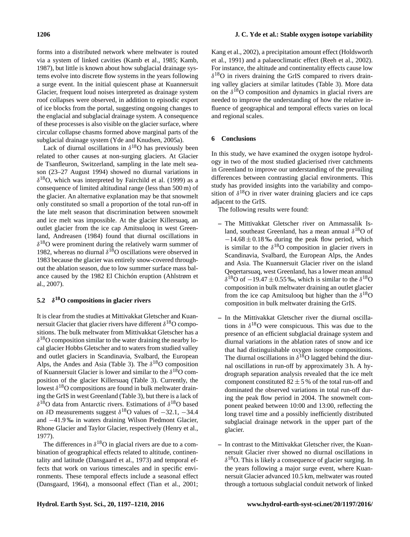forms into a distributed network where meltwater is routed via a system of linked cavities (Kamb et al., 1985; Kamb, 1987), but little is known about how subglacial drainage systems evolve into discrete flow systems in the years following a surge event. In the initial quiescent phase at Kuannersuit Glacier, frequent loud noises interpreted as drainage system roof collapses were observed, in addition to episodic export of ice blocks from the portal, suggesting ongoing changes to the englacial and subglacial drainage system. A consequence of these processes is also visible on the glacier surface, where circular collapse chasms formed above marginal parts of the subglacial drainage system (Yde and Knudsen, 2005a).

Lack of diurnal oscillations in  $\delta^{18}O$  has previously been related to other causes at non-surging glaciers. At Glacier de Tsanfleuron, Switzerland, sampling in the late melt season (23–27 August 1994) showed no diurnal variations in  $\delta^{18}$ O, which was interpreted by Fairchild et al. (1999) as a consequence of limited altitudinal range (less than 500 m) of the glacier. An alternative explanation may be that snowmelt only constituted so small a proportion of the total run-off in the late melt season that discrimination between snowmelt and ice melt was impossible. At the glacier Killersuaq, an outlet glacier from the ice cap Amitsulooq in west Greenland, Andreasen (1984) found that diurnal oscillations in  $\delta^{18}$ O were prominent during the relatively warm summer of 1982, whereas no diurnal  $\delta^{18}$ O oscillations were observed in 1983 because the glacier was entirely snow-covered throughout the ablation season, due to low summer surface mass balance caused by the 1982 El Chichón eruption (Ahlstrøm et al., 2007).

#### **5.2** δ **<sup>18</sup>O compositions in glacier rivers**

It is clear from the studies at Mittivakkat Gletscher and Kuannersuit Glacier that glacier rivers have different  $\delta^{18}O$  compositions. The bulk meltwater from Mittivakkat Gletscher has a  $\delta^{18}$ O composition similar to the water draining the nearby local glacier Hobbs Gletscher and to waters from studied valley and outlet glaciers in Scandinavia, Svalbard, the European Alps, the Andes and Asia (Table 3). The  $\delta^{18}O$  composition of Kuannersuit Glacier is lower and similar to the  $\delta^{18}O$  composition of the glacier Killersuaq (Table 3). Currently, the lowest  $\delta^{18}$ O compositions are found in bulk meltwater draining the GrIS in west Greenland (Table 3), but there is a lack of  $\delta^{18}$ O data from Antarctic rivers. Estimations of  $\delta^{18}$ O based on δD measurements suggest  $\delta^{18}$ O values of -32.1, -34.4 and −41.9 ‰ in waters draining Wilson Piedmont Glacier, Rhone Glacier and Taylor Glacier, respectively (Henry et al., 1977).

The differences in  $\delta^{18}O$  in glacial rivers are due to a combination of geographical effects related to altitude, continentality and latitude (Dansgaard et al., 1973) and temporal effects that work on various timescales and in specific environments. These temporal effects include a seasonal effect (Dansgaard, 1964), a monsoonal effect (Tian et al., 2001;

Kang et al., 2002), a precipitation amount effect (Holdsworth et al., 1991) and a palaeoclimatic effect (Reeh et al., 2002). For instance, the altitude and continentality effects cause low  $\delta^{18}$ O in rivers draining the GrIS compared to rivers draining valley glaciers at similar latitudes (Table 3). More data on the  $\delta^{18}$ O composition and dynamics in glacial rivers are needed to improve the understanding of how the relative influence of geographical and temporal effects varies on local and regional scales.

# **6 Conclusions**

In this study, we have examined the oxygen isotope hydrology in two of the most studied glacierised river catchments in Greenland to improve our understanding of the prevailing differences between contrasting glacial environments. This study has provided insights into the variability and composition of  $\delta^{18}$ O in river water draining glaciers and ice caps adjacent to the GrIS.

The following results were found:

- **–** The Mittivakkat Gletscher river on Ammassalik Island, southeast Greenland, has a mean annual  $\delta^{18}O$  of  $-14.68 \pm 0.18$  ‰ during the peak flow period, which is similar to the  $\delta^{18}$ O composition in glacier rivers in Scandinavia, Svalbard, the European Alps, the Andes and Asia. The Kuannersuit Glacier river on the island Qeqertarsuaq, west Greenland, has a lower mean annual  $\delta^{18}$ O of  $-19.47 \pm 0.55$  ‰, which is similar to the  $\delta^{18}$ O composition in bulk meltwater draining an outlet glacier from the ice cap Amitsulooq but higher than the  $\delta^{18}$ O composition in bulk meltwater draining the GrIS.
- **–** In the Mittivakkat Gletscher river the diurnal oscillations in  $\delta^{18}$ O were conspicuous. This was due to the presence of an efficient subglacial drainage system and diurnal variations in the ablation rates of snow and ice that had distinguishable oxygen isotope compositions. The diurnal oscillations in  $\delta^{18}$ O lagged behind the diurnal oscillations in run-off by approximately 3 h. A hydrograph separation analysis revealed that the ice melt component constituted  $82 \pm 5$ % of the total run-off and dominated the observed variations in total run-off during the peak flow period in 2004. The snowmelt component peaked between 10:00 and 13:00, reflecting the long travel time and a possibly inefficiently distributed subglacial drainage network in the upper part of the glacier.
- **–** In contrast to the Mittivakkat Gletscher river, the Kuannersuit Glacier river showed no diurnal oscillations in  $\delta^{18}$ O. This is likely a consequence of glacier surging. In the years following a major surge event, where Kuannersuit Glacier advanced 10.5 km, meltwater was routed through a tortuous subglacial conduit network of linked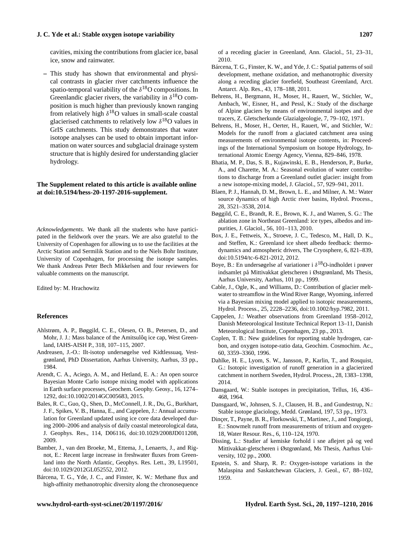cavities, mixing the contributions from glacier ice, basal ice, snow and rainwater.

**–** This study has shown that environmental and physical contrasts in glacier river catchments influence the spatio-temporal variability of the  $\delta^{18}$ O compositions. In Greenlandic glacier rivers, the variability in  $\delta^{18}O$  composition is much higher than previously known ranging from relatively high  $\delta^{18}O$  values in small-scale coastal glacierised catchments to relatively low  $\delta^{18}$ O values in GrIS catchments. This study demonstrates that water isotope analyses can be used to obtain important information on water sources and subglacial drainage system structure that is highly desired for understanding glacier hydrology.

# **The Supplement related to this article is available online at [doi:10.5194/hess-20-1197-2016-supplement.](http://dx.doi.org/10.5194/hess-20-1197-2016-supplement)**

*Acknowledgements.* We thank all the students who have participated in the fieldwork over the years. We are also grateful to the University of Copenhagen for allowing us to use the facilities at the Arctic Station and Sermilik Station and to the Niels Bohr Institute, University of Copenhagen, for processing the isotope samples. We thank Andreas Peter Bech Mikkelsen and four reviewers for valuable comments on the manuscript.

Edited by: M. Hrachowitz

# **References**

- Ahlstrøm, A. P., Bøggild, C. E., Olesen, O. B., Petersen, D., and Mohr, J. J.: Mass balance of the Amitsulôq ice cap, West Greenland, IAHS-AISH P., 318, 107–115, 2007.
- Andreasen, J.-O.: Ilt-isotop undersøgelse ved Kidtlessuaq, Vestgrønland, PhD Dissertation, Aarhus University, Aarhus, 33 pp., 1984.
- Arendt, C. A., Aciego, A. M., and Hetland, E. A.: An open source Bayesian Monte Carlo isotope mixing model with applications in Earth surface processes, Geochem. Geophy. Geosy., 16, 1274– 1292, doi[:10.1002/2014GC005683,](http://dx.doi.org/10.1002/2014GC005683) 2015.
- Bales, R. C., Guo, Q., Shen, D., McConnell, J. R., Du, G., Burkhart, J. F., Spikes, V. B., Hanna, E., and Cappelen, J.: Annual accumulation for Greenland updated using ice core data developed during 2000–2006 and analysis of daily coastal meteorological data, J. Geophys. Res., 114, D06116, doi[:10.1029/2008JD011208,](http://dx.doi.org/10.1029/2008JD011208) 2009.
- Bamber, J., van den Broeke, M., Ettema, J., Lenaerts, J., and Rignot, E.: Recent large increase in freshwater fluxes from Greenland into the North Atlantic, Geophys. Res. Lett., 39, L19501, doi[:10.1029/2012GL052552,](http://dx.doi.org/10.1029/2012GL052552) 2012.
- Bárcena, T. G., Yde, J. C., and Finster, K. W.: Methane flux and high-affinity methanotrophic diversity along the chronosequence

of a receding glacier in Greenland, Ann. Glaciol., 51, 23–31, 2010.

- Bárcena, T. G., Finster, K. W., and Yde, J. C.: Spatial patterns of soil development, methane oxidation, and methanotrophic diversity along a receding glacier forefield, Southeast Greenland, Arct. Antarct. Alp. Res., 43, 178–188, 2011.
- Behrens, H., Bergmann, H., Moser, H., Rauert, W., Stichler, W., Ambach, W., Eisner, H., and Pessl, K.: Study of the discharge of Alpine glaciers by means of environmental isotpes and dye tracers, Z. Gletscherkunde Glazialgeologie, 7, 79–102, 1971.
- Behrens, H., Moser, H., Oerter, H., Rauert, W., and Stichler, W.: Models for the runoff from a glaciated catchment area using measurements of environmental isotope contents, in: Proceedings of the International Symposium on Isotope Hydrology, International Atomic Energy Agency, Vienna, 829–846, 1978.
- Bhatia, M. P., Das, S. B., Kujawinski, E. B., Henderson, P., Burke, A., and Charette, M. A.: Seasonal evolution of water contributions to discharge from a Greenland outlet glacier: insight from a new isotope-mixing model, J. Glaciol., 57, 929–941, 2011.
- Blaen, P. J., Hannah, D. M., Brown, L. E., and Milner, A. M.: Water source dynamics of high Arctic river basins, Hydrol. Process., 28, 3521–3538, 2014.
- Bøggild, C. E., Brandt, R. E., Brown, K. J., and Warren, S. G.: The ablation zone in Northeast Greenland: ice types, albedos and impurities, J. Glaciol., 56, 101–113, 2010.
- Box, J. E., Fettweis, X., Stroeve, J. C., Tedesco, M., Hall, D. K., and Steffen, K.: Greenland ice sheet albedo feedback: thermodynamics and atmospheric drivers, The Cryosphere, 6, 821–839, doi[:10.5194/tc-6-821-2012,](http://dx.doi.org/10.5194/tc-6-821-2012) 2012.
- Boye, B.: En undersøgelse af variationer i  $\delta^{18}$ O-indholdet i prøver indsamlet på Mittivakkat gletscheren i Østgrønland, Ms Thesis, Aarhus University, Aarhus, 101 pp., 1999.
- Cable, J., Ogle, K., and Williams, D.: Contribution of glacier meltwater to streamflow in the Wind River Range, Wyoming, inferred via a Bayesian mixing model applied to isotopic measurements, Hydrol. Process., 25, 2228–2236, doi[:10.1002/hyp.7982,](http://dx.doi.org/10.1002/hyp.7982) 2011.
- Cappelen, J.: Weather observations from Greenland 1958–2012, Danish Meteorological Institute Technical Report 13–11, Danish Meteorological Institute, Copenhagen, 23 pp., 2013.
- Coplen, T. B.: New guidelines for reporting stable hydrogen, carbon, and oxygen isotope-ratio data, Geochim. Cosmochim. Ac., 60, 3359–3360, 1996.
- Dahlke, H. E., Lyom, S. W., Jansson, P., Karlin, T., and Rosquist, G.: Isotopic investigation of runoff generation in a glacierized catchment in northern Sweden, Hydrol. Process., 28, 1383–1398, 2014.
- Dansgaard, W.: Stable isotopes in precipitation, Tellus, 16, 436– 468, 1964.
- Dansgaard, W., Johnsen, S. J., Clausen, H. B., and Gundestrup, N.: Stable isotope glaciology, Medd. Grønland, 197, 53 pp., 1973.
- Dinçer, T., Payne, B. R., Florkowski, T., Martinec, J., and Tongiorgi, E.: Snowmelt runoff from measurements of tritium and oxygen-18, Water Resour. Res., 6, 110–124, 1970.
- Dissing, L.: Studier af kemiske forhold i sne aflejret på og ved Mittivakkat-gletscheren i Østgrønland, Ms Thesis, Aarhus University, 102 pp., 2000.
- Epstein, S. and Sharp, R. P.: Oxygen-isotope variations in the Malaspina and Saskatchewan Glaciers, J. Geol., 67, 88–102, 1959.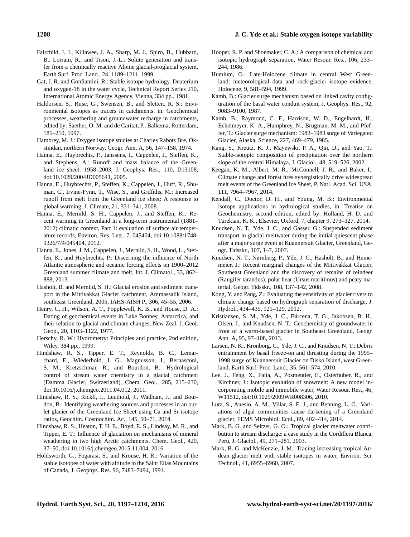- Fairchild, I. J., Killawee, J. A., Sharp, M. J., Spiro, B., Hubbard, B., Lorrain, R., and Tison, J.-L.: Solute generation and transfer from a chemically reactive Alpine glacial-proglacial system, Earth Surf. Proc. Land., 24, 1189–1211, 1999.
- Gat, J. R. and Gonfiantini, R.: Stable isotope hydrology. Deuterium and oxygen-18 in the water cycle, Technical Report Series 210, International Atomic Energy Agency, Vienna, 334 pp., 1981.
- Haldorsen, S., Riise, G., Swensen, B., and Sletten, R. S.: Environmental isotopes as tracers in catchments, in: Geochemical processes, weathering and groundwater recharge in catchments, edited by: Saether, O. M. and de Caritat, P., Balkema, Rotterdam, 185–210, 1997.
- Hambrey, M. J.: Oxygen isotope studies at Charles Rabots Bre, Okstindan, northern Norway, Geogr. Ann. A, 56, 147–158, 1974.
- Hanna, E., Huybrechts, P., Janssens, I., Cappelen, J., Steffen, K., and Stephens, A.: Runoff and mass balance of the Greenland ice sheet: 1958–2003, J. Geophys. Res., 110, D13108, doi[:10.1029/2004JD005641,](http://dx.doi.org/10.1029/2004JD005641) 2005.
- Hanna, E., Huybrechts, P., Steffen, K., Cappelen, J., Huff, R., Shuman, C., Irvine-Fynn, T., Wise, S., and Griffiths, M.: Increased runoff from melt from the Greenland ice sheet: A response to global warming, J. Climate, 21, 331–341, 2008.
- Hanna, E., Mernild, S. H., Cappelen, J., and Steffen, K.: Recent warming in Greenland in a long-term instrumental (1881– 2012) climatic context, Part 1: evaluation of surface air temperature records, Environ. Res. Lett., 7, 045404, doi[:10.1088/1748-](http://dx.doi.org/10.1088/1748-9326/7/4/045404) [9326/7/4/045404,](http://dx.doi.org/10.1088/1748-9326/7/4/045404) 2012.
- Hanna, E., Jones, J. M., Cappelen, J., Mernild, S. H., Wood, L., Steffen, K., and Huybrechts, P.: Discerning the influence of North Atlantic atmospheric and oceanic forcing effects on 1900–2012 Greenland summer climate and melt, Int. J. Climatol., 33, 862– 888, 2013.
- Hasholt, B. and Mernild, S. H.: Glacial erosion and sediment transport in the Mittivakkat Glacier catchment, Ammassalik Island, southeast Greenland, 2005, IAHS-AISH P., 306, 45–55, 2006.
- Henry, C. H., Wilson, A. T., Popplewell, K. B., and House, D. A.: Dating of geochemical events in Lake Bonney, Antarctica, and their relation to glacial and climate changes, New Zeal. J. Geol. Geop., 20, 1103–1122, 1977.
- Herschy, R. W.: Hydrometry: Principles and practice, 2nd edition, Wiley, 384 pp., 1999.
- Hindshaw, R. S., Tipper, E. T., Reynolds, B. C., Lemarchard, E., Wiederhold, J. G., Magnusson, J., Bernasconi, S. M., Kretzschmar, R., and Bourdon, B.: Hydrological control of stream water chemistry in a glacial catchment (Damma Glacier, Switzerland), Chem. Geol., 285, 215–230, doi[:10.1016/j.chemgeo.2011.04.012,](http://dx.doi.org/10.1016/j.chemgeo.2011.04.012) 2011.
- Hindshaw, R. S., Rickli, J., Leuthold, J., Wadham, J., and Bourdon, B.: Identifying weathering sources and processes in an outlet glacier of the Greenland Ice Sheet using Ca and Sr isotope ratios, Geochim. Cosmochim. Ac., 145, 50–71, 2014.
- Hindshaw, R. S., Heaton, T. H. E., Boyd, E. S., Lindsay, M. R., and Tipper, E. T.: Influence of glaciation on mechanisms of mineral weathering in two high Arctic catchments, Chem. Geol., 420, 37–50, doi[:10.1016/j.chemgeo.2015.11.004,](http://dx.doi.org/10.1016/j.chemgeo.2015.11.004) 2016.
- Holdsworth, G., Fogarasi, S., and Krouse, H. R.: Variation of the stable isotopes of water with altitude in the Saint Elias Mountains of Canada, J. Geophys. Res. 96, 7483–7494, 1991.
- Hooper, R. P. and Shoemaker, C. A.: A comparison of chemical and isotopic hydrograph separation, Water Resour. Res., 106, 233– 244, 1986.
- Humlum, O.: Late-Holocene climate in central West Greenland: meteorological data and rock-glacier isotope evidence, Holocene, 9, 581–594, 1999.
- Kamb, B.: Glacier surge mechanism based on linked cavity configuration of the basal water conduit system, J. Geophys. Res., 92, 9083–9100, 1987.
- Kamb, B., Raymond, C. F., Harrison, W. D., Engelhardt, H., Echelmeyer, K. A., Humphrey, N., Brugman, M. M., and Pfeffer, T.: Glacier surge mechanism: 1982–1983 surge of Variegated Glacier, Alaska, Science, 227, 469–479, 1985.
- Kang, S., Kreutz, K. J., Mayewski, P. A., Qin, D., and Yao, T.: Stable-isotopic composition of precipitation over the northern slope of the central Himalaya, J. Glaciol., 48, 519–526, 2002.
- Keegan, K. M., Albert, M. R., McConnell, J. R., and Baker, I.: Climate change and forest fires synergistically drive widespread melt events of the Greenland Ice Sheet, P. Natl. Acad. Sci. USA, 111, 7964–7967, 2014.
- Kendall, C., Doctor, D. H., and Young, M. B.: Environmental isotope applications in hydrological studies, in: Treatise on Geochemistry, second edition, edited by: Holland, H. D. and Turekian, K. K., Elsevier, Oxford, 7, chapter 9, 273–327, 2014.
- Knudsen, N. T., Yde, J. C., and Gasser, G.: Suspended sediment transport in glacial meltwater during the initial quiescent phase after a major surge event at Kuannersuit Glacier, Greenland, Geogr. Tidsskr., 107, 1–7, 2007.
- Knudsen, N. T., Nørnberg, P., Yde, J. C., Hasholt, B., and Heinemeier, J.: Recent marginal changes of the Mittivakkat Glacier, Southeast Greenland and the discovery of remains of reindeer (Rangifer tarandus), polar bear (Ursus maritimus) and peaty material, Geogr. Tidsskr., 108, 137–142, 2008.
- Kong, Y. and Pang, Z.: Evaluating the sensitivity of glacier rivers to climate change based on hydrograph separation of discharge, J. Hydrol., 434–435, 121–129, 2012.
- Kristiansen, S. M., Yde, J. C., Bárcena, T. G., Jakobsen, B. H., Olsen, J., and Knudsen, N. T.: Geochemistry of groundwater in front of a warm-based glacier in Southeast Greenland, Geogr. Ann. A, 95, 97–108, 2013.
- Larsen, N. K., Kronborg, C., Yde, J. C., and Knudsen, N. T.: Debris entrainment by basal freeze-on and thrusting during the 1995– 1998 surge of Kuannersuit Glacier on Disko Island, west Greenland, Earth Surf. Proc. Land., 35, 561–574, 2010.
- Lee, J., Feng, X., Faiia, A., Posmentier, E., Osterhuber, R., and Kirchner, J.: Isotopic evolution of snowmelt: A new model incorporating mobile and immobile water, Water Resour. Res., 46, W11512, doi[:10.1029/2009WR008306,](http://dx.doi.org/10.1029/2009WR008306) 2010.
- Lutz, S., Anesio, A. M., Villar, S. E. J., and Benning, L. G.: Variations of algal communities cause darkening of a Greenland glacier, FEMS Microbiol. Ecol., 89, 402–414, 2014.
- Mark, B. G. and Seltzer, G. O.: Tropical glacier meltwater contribution to stream discharge: a case study in the Cordillera Blanca, Peru, J. Glaciol., 49, 271–281, 2003.
- Mark, B. G. and McKenzie, J. M.: Tracing increasing tropical Andean glacier melt with stable isotopes in water, Environ. Sci. Technol., 41, 6955–6960, 2007.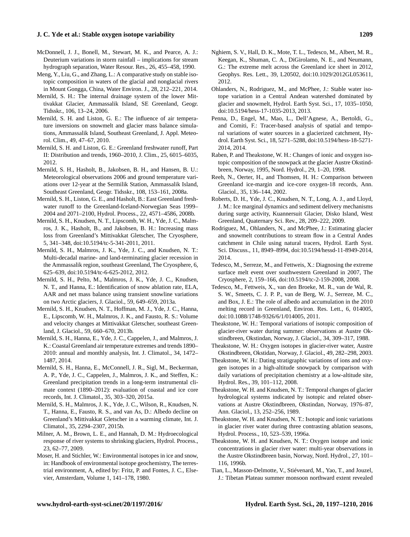- McDonnell, J. J., Bonell, M., Stewart, M. K., and Pearce, A. J.: Deuterium variations in storm rainfall – implications for stream hydrograph separation, Water Resour. Res., 26, 455–458, 1990.
- Meng, Y., Liu, G., and Zhang, L.: A comparative study on stable isotopic composition in waters of the glacial and nonglacial rivers in Mount Gongga, China, Water Environ. J., 28, 212–221, 2014.
- Mernild, S. H.: The internal drainage system of the lower Mittivakkat Glacier, Ammassalik Island, SE Greenland, Geogr. Tidsskr., 106, 13–24, 2006.
- Mernild, S. H. and Liston, G. E.: The influence of air temperature inversions on snowmelt and glacier mass balance simulations, Ammassalik Island, Southeast Greenland, J. Appl. Meteorol. Clim., 49, 47–67, 2010.
- Mernild, S. H. and Liston, G. E.: Greenland freshwater runoff, Part II: Distribution and trends, 1960–2010, J. Clim., 25, 6015–6035, 2012.
- Mernild, S. H., Hasholt, B., Jakobsen, B. H., and Hansen, B. U.: Meteorological observations 2006 and ground temperature variations over 12-year at the Sermilik Station, Ammassalik Island, Southeast Greenland, Geogr. Tidsskr., 108, 153–161, 2008a.
- Mernild, S. H., Liston, G. E., and Hasholt, B.: East Greenland freshwater runoff to the Greenland-Iceland-Norwegian Seas 1999– 2004 and 2071–2100, Hydrol. Process., 22, 4571–4586, 2008b.
- Mernild, S. H., Knudsen, N. T., Lipscomb, W. H., Yde, J. C., Malmros, J. K., Hasholt, B., and Jakobsen, B. H.: Increasing mass loss from Greenland's Mittivakkat Gletscher, The Cryosphere, 5, 341–348, doi[:10.5194/tc-5-341-2011,](http://dx.doi.org/10.5194/tc-5-341-2011) 2011.
- Mernild, S. H., Malmros, J. K., Yde, J. C., and Knudsen, N. T.: Multi-decadal marine- and land-terminating glacier recession in the Ammassalik region, southeast Greenland, The Cryosphere, 6, 625–639, doi[:10.5194/tc-6-625-2012,](http://dx.doi.org/10.5194/tc-6-625-2012) 2012.
- Mernild, S. H., Pelto, M., Malmros, J. K., Yde, J. C., Knudsen, N. T., and Hanna, E.: Identification of snow ablation rate, ELA, AAR and net mass balance using transient snowline variations on two Arctic glaciers, J. Glaciol., 59, 649–659, 2013a.
- Mernild, S. H., Knudsen, N. T., Hoffman, M. J., Yde, J. C., Hanna, E., Lipscomb, W. H., Malmros, J. K., and Fausto, R. S.: Volume and velocity changes at Mittivakkat Gletscher, southeast Greenland, J. Glaciol., 59, 660–670, 2013b.
- Mernild, S. H., Hanna, E., Yde, J. C., Cappelen, J., and Malmros, J. K.: Coastal Greenland air temperature extremes and trends 1890– 2010: annual and monthly analysis, Int. J. Climatol., 34, 1472– 1487, 2014.
- Mernild, S. H., Hanna, E., McConnell, J. R., Sigl, M., Beckerman, A. P., Yde, J. C., Cappelen, J., Malmros, J. K., and Steffen, K.: Greenland precipitation trends in a long-term instrumental climate context (1890–2012): evaluation of coastal and ice core records, Int. J. Climatol., 35, 303–320, 2015a.
- Mernild, S. H., Malmros, J. K., Yde, J. C., Wilson, R., Knudsen, N. T., Hanna, E., Fausto, R. S., and van As, D.: Albedo decline on Greenland's Mittivakkat Gletscher in a warming climate, Int. J. Climatol., 35, 2294–2307, 2015b.
- Milner, A. M., Brown, L. E., and Hannah, D. M.: Hydroecological response of river systems to shrinking glaciers, Hydrol. Process., 23, 62–77, 2009.
- Moser, H. and Stichler, W.: Environmental isotopes in ice and snow, in: Handbook of environmental isotope geochemistry, The terrestrial environment, A, edited by: Fritz, P. and Fontes, J. C., Elsevier, Amsterdam, Volume 1, 141–178, 1980.
- Nghiem, S. V., Hall, D. K., Mote, T. L., Tedesco, M., Albert, M. R., Keegan, K., Shuman, C. A., DiGirolamo, N. E., and Neumann, G.: The extreme melt across the Greenland ice sheet in 2012, Geophys. Res. Lett., 39, L20502, doi[:10.1029/2012GL053611,](http://dx.doi.org/10.1029/2012GL053611) 2012.
- Ohlanders, N., Rodriguez, M., and McPhee, J.: Stable water isotope variation in a Central Andean watershed dominated by glacier and snowmelt, Hydrol. Earth Syst. Sci., 17, 1035–1050, doi[:10.5194/hess-17-1035-2013,](http://dx.doi.org/10.5194/hess-17-1035-2013) 2013.
- Penna, D., Engel, M., Mao, L., Dell'Agnese, A., Bertoldi, G., and Comiti, F.: Tracer-based analysis of spatial and temporal variations of water sources in a glacierized catchment, Hydrol. Earth Syst. Sci., 18, 5271–5288, doi[:10.5194/hess-18-5271-](http://dx.doi.org/10.5194/hess-18-5271-2014) [2014,](http://dx.doi.org/10.5194/hess-18-5271-2014) 2014.
- Raben, P. and Theakstone, W. H.: Changes of ionic and oxygen isotopic composition of the snowpack at the glacier Austre Okstindbreen, Norway, 1995, Nord. Hydrol., 29, 1–20, 1998.
- Reeh, N., Oerter, H., and Thomsen, H. H.: Comparison between Greenland ice-margin and ice-core oxygen-18 records, Ann. Glaciol., 35, 136–144, 2002.
- Roberts, D. H., Yde, J. C., Knudsen, N. T., Long, A. J., and Lloyd, J. M.: Ice marginal dynamics and sediment delivery mechanisms during surge activity, Kuannersuit Glacier, Disko Island, West Greenland, Quaternary Sci. Rev., 28, 209–222, 2009.
- Rodriguez, M., Ohlanders, N., and McPhee, J.: Estimating glacier and snowmelt contributions to stream flow in a Central Andes catchment in Chile using natural tracers, Hydrol. Earth Syst. Sci. Discuss., 11, 8949–8994, doi[:10.5194/hessd-11-8949-2014,](http://dx.doi.org/10.5194/hessd-11-8949-2014) 2014.
- Tedesco, M., Serreze, M., and Fettweis, X.: Diagnosing the extreme surface melt event over southwestern Greenland in 2007, The Cryosphere, 2, 159–166, doi[:10.5194/tc-2-159-2008,](http://dx.doi.org/10.5194/tc-2-159-2008) 2008.
- Tedesco, M., Fettweis, X., van den Broeke, M. R., van de Wal, R. S. W., Smeets, C. J. P. P., van de Berg, W. J., Serreze, M. C., and Box, J. E.: The role of albedo and accumulation in the 2010 melting record in Greenland, Environ. Res. Lett., 6, 014005, doi[:10.1088/1748-9326/6/1/014005,](http://dx.doi.org/10.1088/1748-9326/6/1/014005) 2011.
- Theakstone, W. H.: Temporal variations of isotopic composition of glacier-river water during summer: observations at Austre Okstindbreen, Okstindan, Norway, J. Glaciol., 34, 309–317, 1988.
- Theakstone, W. H.: Oxygen isotopes in glacier-river water, Austre Okstindbreen, Okstidan, Norway, J. Glaciol., 49, 282–298, 2003.
- Theakstone, W. H.: Dating stratigraphic variations of ions and oxygen isotopes in a high-altitude snowpack by comparison with daily variations of precipitation chemistry at a low-altitude site, Hydrol. Res., 39, 101–112, 2008.
- Theakstone, W. H. and Knudsen, N. T.: Temporal changes of glacier hydrological systems indicated by isotopic and related observations at Austre Okstindbreen, Okstindan, Norway, 1976–87, Ann. Glaciol., 13, 252–256, 1989.
- Theakstone, W. H. and Knudsen, N. T.: Isotopic and ionic variations in glacier river water during three contrasting ablation seasons, Hydrol. Process., 10, 523–539, 1996a.
- Theakstone, W. H. and Knudsen, N. T.: Oxygen isotope and ionic concentrations in glacier river water: multi-year observations in the Austre Okstindbreen basin, Norway, Nord. Hydrol., 27, 101– 116, 1996b.
- Tian, L., Masson-Delmotte, V., Stiévenard, M., Yao, T., and Jouzel, J.: Tibetan Plateau summer monsoon northward extent revealed